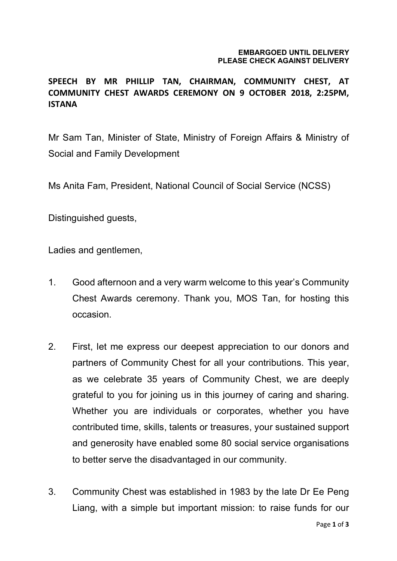## **EMBARGOED UNTIL DELIVERY PLEASE CHECK AGAINST DELIVERY**

## **SPEECH BY MR PHILLIP TAN, CHAIRMAN, COMMUNITY CHEST, AT COMMUNITY CHEST AWARDS CEREMONY ON 9 OCTOBER 2018, 2:25PM, ISTANA**

Mr Sam Tan, Minister of State, Ministry of Foreign Affairs & Ministry of Social and Family Development

Ms Anita Fam, President, National Council of Social Service (NCSS)

Distinguished guests,

Ladies and gentlemen,

- 1. Good afternoon and a very warm welcome to this year's Community Chest Awards ceremony. Thank you, MOS Tan, for hosting this occasion.
- 2. First, let me express our deepest appreciation to our donors and partners of Community Chest for all your contributions. This year, as we celebrate 35 years of Community Chest, we are deeply grateful to you for joining us in this journey of caring and sharing. Whether you are individuals or corporates, whether you have contributed time, skills, talents or treasures, your sustained support and generosity have enabled some 80 social service organisations to better serve the disadvantaged in our community.
- 3. Community Chest was established in 1983 by the late Dr Ee Peng Liang, with a simple but important mission: to raise funds for our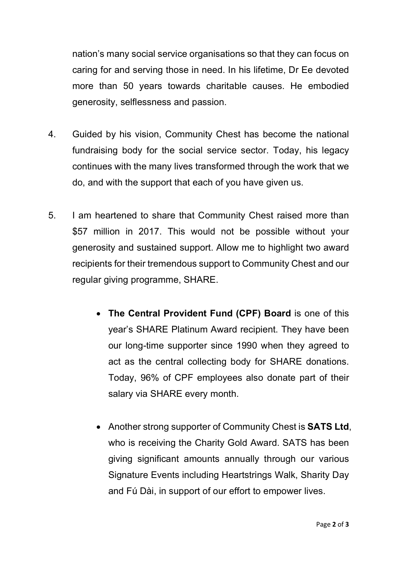nation's many social service organisations so that they can focus on caring for and serving those in need. In his lifetime, Dr Ee devoted more than 50 years towards charitable causes. He embodied generosity, selflessness and passion.

- 4. Guided by his vision, Community Chest has become the national fundraising body for the social service sector. Today, his legacy continues with the many lives transformed through the work that we do, and with the support that each of you have given us.
- 5. I am heartened to share that Community Chest raised more than \$57 million in 2017. This would not be possible without your generosity and sustained support. Allow me to highlight two award recipients for their tremendous support to Community Chest and our regular giving programme, SHARE.
	- **The Central Provident Fund (CPF) Board** is one of this year's SHARE Platinum Award recipient. They have been our long-time supporter since 1990 when they agreed to act as the central collecting body for SHARE donations. Today, 96% of CPF employees also donate part of their salary via SHARE every month.
	- Another strong supporter of Community Chest is **SATS Ltd**, who is receiving the Charity Gold Award. SATS has been giving significant amounts annually through our various Signature Events including Heartstrings Walk, Sharity Day and Fú Dài, in support of our effort to empower lives.